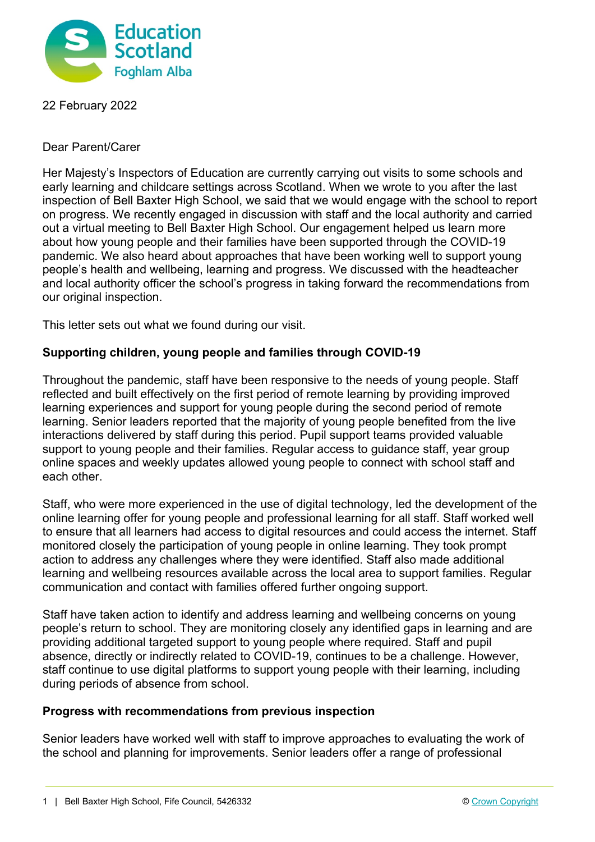

22 February 2022

Dear Parent/Carer

Her Majesty's Inspectors of Education are currently carrying out visits to some schools and early learning and childcare settings across Scotland. When we wrote to you after the last inspection of Bell Baxter High School, we said that we would engage with the school to report on progress. We recently engaged in discussion with staff and the local authority and carried out a virtual meeting to Bell Baxter High School. Our engagement helped us learn more about how young people and their families have been supported through the COVID-19 pandemic. We also heard about approaches that have been working well to support young people's health and wellbeing, learning and progress. We discussed with the headteacher and local authority officer the school's progress in taking forward the recommendations from our original inspection.

This letter sets out what we found during our visit.

## **Supporting children, young people and families through COVID-19**

Throughout the pandemic, staff have been responsive to the needs of young people. Staff reflected and built effectively on the first period of remote learning by providing improved learning experiences and support for young people during the second period of remote learning. Senior leaders reported that the majority of young people benefited from the live interactions delivered by staff during this period. Pupil support teams provided valuable support to young people and their families. Regular access to guidance staff, year group online spaces and weekly updates allowed young people to connect with school staff and each other.

Staff, who were more experienced in the use of digital technology, led the development of the online learning offer for young people and professional learning for all staff. Staff worked well to ensure that all learners had access to digital resources and could access the internet. Staff monitored closely the participation of young people in online learning. They took prompt action to address any challenges where they were identified. Staff also made additional learning and wellbeing resources available across the local area to support families. Regular communication and contact with families offered further ongoing support.

Staff have taken action to identify and address learning and wellbeing concerns on young people's return to school. They are monitoring closely any identified gaps in learning and are providing additional targeted support to young people where required. Staff and pupil absence, directly or indirectly related to COVID-19, continues to be a challenge. However, staff continue to use digital platforms to support young people with their learning, including during periods of absence from school.

## **Progress with recommendations from previous inspection**

Senior leaders have worked well with staff to improve approaches to evaluating the work of the school and planning for improvements. Senior leaders offer a range of professional